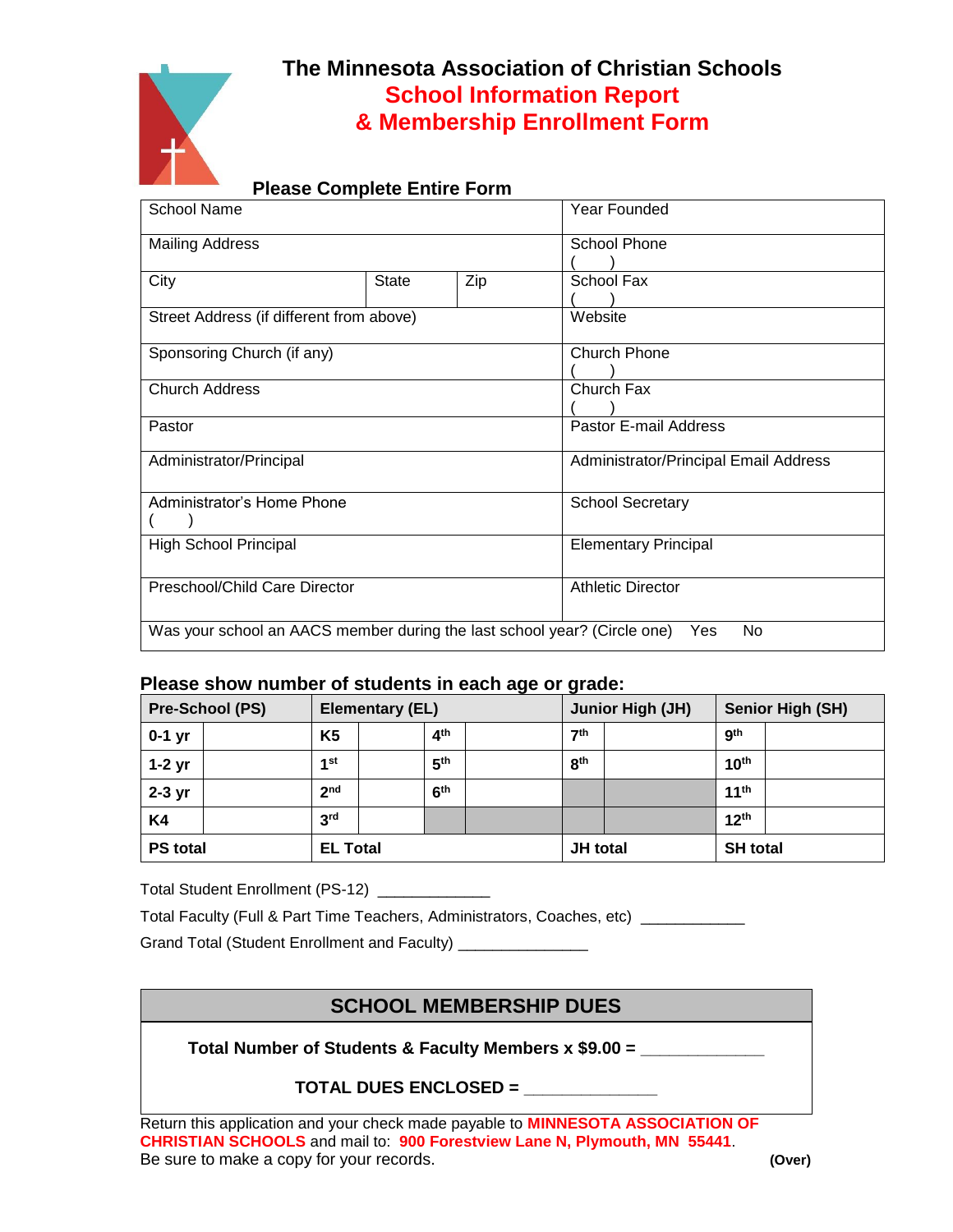

## **The Minnesota Association of Christian Schools School Information Report & Membership Enrollment Form**

## **Please Complete Entire Form**

| School Name                                                                            |              |     | Year Founded                          |  |  |
|----------------------------------------------------------------------------------------|--------------|-----|---------------------------------------|--|--|
| <b>Mailing Address</b>                                                                 |              |     | School Phone                          |  |  |
| City                                                                                   | <b>State</b> | Zip | School Fax                            |  |  |
| Street Address (if different from above)                                               |              |     | Website                               |  |  |
| Sponsoring Church (if any)                                                             |              |     | <b>Church Phone</b>                   |  |  |
| <b>Church Address</b>                                                                  |              |     | Church Fax                            |  |  |
| Pastor                                                                                 |              |     | Pastor E-mail Address                 |  |  |
| Administrator/Principal                                                                |              |     | Administrator/Principal Email Address |  |  |
| Administrator's Home Phone                                                             |              |     | <b>School Secretary</b>               |  |  |
| <b>High School Principal</b>                                                           |              |     | <b>Elementary Principal</b>           |  |  |
| Preschool/Child Care Director                                                          |              |     | <b>Athletic Director</b>              |  |  |
| Was your school an AACS member during the last school year? (Circle one)<br>No.<br>Yes |              |     |                                       |  |  |

### **Please show number of students in each age or grade:**

| <b>Pre-School (PS)</b> | <b>Elementary (EL)</b> |                 | . .<br><b>Junior High (JH)</b> | <b>Senior High (SH)</b> |
|------------------------|------------------------|-----------------|--------------------------------|-------------------------|
| $0-1$ yr               | K <sub>5</sub>         | 4 <sup>th</sup> | 7 <sup>th</sup>                | <b>gth</b>              |
| $1-2$ yr               | 1st                    | 5 <sup>th</sup> | 8 <sup>th</sup>                | 10 <sup>th</sup>        |
| $2-3$ yr               | 2 <sub>nd</sub>        | 6 <sup>th</sup> |                                | 11 <sup>th</sup>        |
| K4                     | 3 <sup>rd</sup>        |                 |                                | 12 <sup>th</sup>        |
| <b>PS total</b>        | <b>EL Total</b>        |                 | JH total                       | <b>SH</b> total         |

Total Student Enrollment (PS-12) \_\_\_\_\_\_\_\_\_\_\_\_\_

Total Faculty (Full & Part Time Teachers, Administrators, Coaches, etc) \_\_\_\_\_\_\_\_\_

Grand Total (Student Enrollment and Faculty)

## **SCHOOL MEMBERSHIP DUES**

**Total Number of Students & Faculty Members x \$9.00 = \_\_\_\_\_\_\_\_\_\_\_\_\_**

**TOTAL DUES ENCLOSED = \_\_\_\_\_\_\_\_\_\_\_\_\_\_**

Return this application and your check made payable to **MINNESOTA ASSOCIATION OF CHRISTIAN SCHOOLS** and mail to: **900 Forestview Lane N, Plymouth, MN 55441**. Be sure to make a copy for your records. **(Over)**